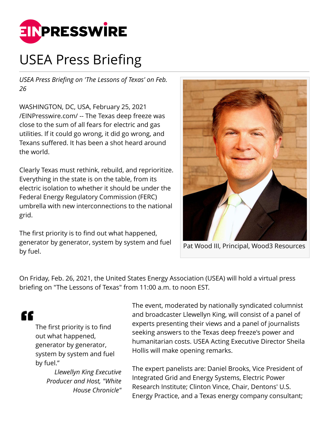

## USEA Press Briefing

*USEA Press Briefing on 'The Lessons of Texas' on Feb. 26*

WASHINGTON, DC, USA, February 25, 2021 [/EINPresswire.com/](http://www.einpresswire.com) -- The Texas deep freeze was close to the sum of all fears for electric and gas utilities. If it could go wrong, it did go wrong, and Texans suffered. It has been a shot heard around the world.

Clearly Texas must rethink, rebuild, and reprioritize. Everything in the state is on the table, from its electric isolation to whether it should be under the Federal Energy Regulatory Commission (FERC) umbrella with new interconnections to the national grid.

The first priority is to find out what happened, generator by generator, system by system and fuel by fuel.



Pat Wood III, Principal, Wood3 Resources

On Friday, Feb. 26, 2021, the United States Energy Association (USEA) will hold a virtual press briefing on "The Lessons of Texas" from 11:00 a.m. to noon EST.

## "

The first priority is to find out what happened, generator by generator, system by system and fuel by fuel."

> *Llewellyn King Executive Producer and Host, "White House Chronicle"*

The event, moderated by nationally syndicated columnist and broadcaster Llewellyn King, will consist of a panel of experts presenting their views and a panel of journalists seeking answers to the Texas deep freeze's power and humanitarian costs. USEA Acting Executive Director Sheila Hollis will make opening remarks.

The expert panelists are: Daniel Brooks, Vice President of Integrated Grid and Energy Systems, Electric Power Research Institute; Clinton Vince, Chair, Dentons' U.S. Energy Practice, and a Texas energy company consultant;